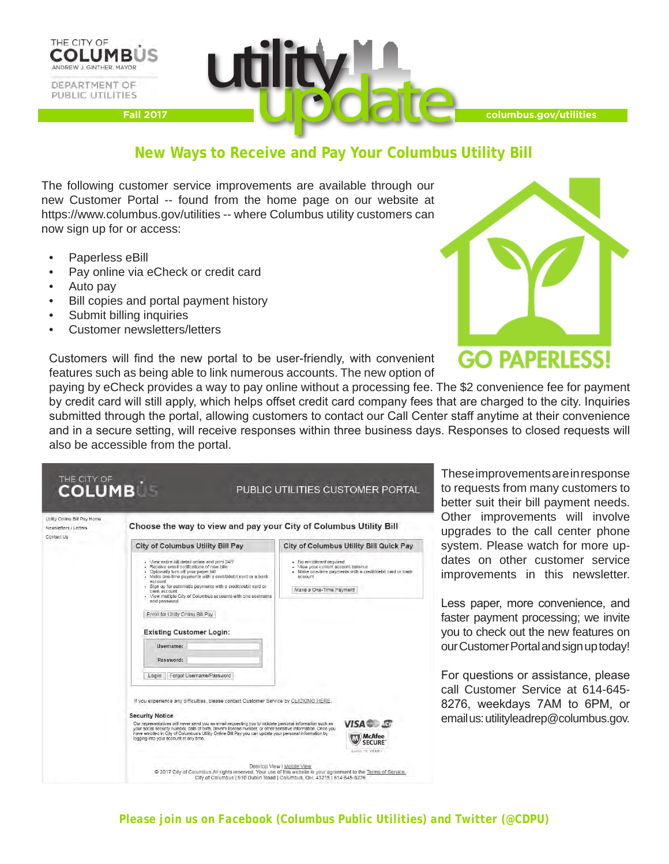



**columbus.gov/utilities**

# **New Ways to Receive and Pay Your Columbus Utility Bill**

The following customer service improvements are available through our new Customer Portal -- found from the home page on our website at https://www.columbus.gov/utilities -- where Columbus utility customers can now sign up for or access:

- Paperless eBill
- Pay online via eCheck or credit card
- Auto pay
- Bill copies and portal payment history
- Submit billing inquiries
- Customer newsletters/letters

Customers will find the new portal to be user-friendly, with convenient features such as being able to link numerous accounts. The new option of



paying by eCheck provides a way to pay online without a processing fee. The \$2 convenience fee for payment by credit card will still apply, which helps offset credit card company fees that are charged to the city. Inquiries submitted through the portal, allowing customers to contact our Call Center staff anytime at their convenience and in a secure setting, will receive responses within three business days. Responses to closed requests will also be accessible from the portal.

| Utility Online Bill Pay Home<br>Newsletters / Letters<br>Contact Us | Choose the way to view and pay your City of Columbus Utility Bill                                                                                                                                                                                                                                                                                                                                                                                                                                |                                                                                                                                                                    |
|---------------------------------------------------------------------|--------------------------------------------------------------------------------------------------------------------------------------------------------------------------------------------------------------------------------------------------------------------------------------------------------------------------------------------------------------------------------------------------------------------------------------------------------------------------------------------------|--------------------------------------------------------------------------------------------------------------------------------------------------------------------|
|                                                                     | City of Columbus Utility Bill Pay                                                                                                                                                                                                                                                                                                                                                                                                                                                                | City of Columbus Utility Bill Quick Pay                                                                                                                            |
|                                                                     | View entire bill detail online and print 24/7<br>- Receive email notifications of new bills<br>Optionally turn off your paper bill<br>Make one-time payments with a credit/debit card or a bank<br>account<br>Sign up for automatic payments with a credit/debit card or<br>bank account<br>View multiple City of Columbus accounts with one usemame                                                                                                                                             | · No enrollment required<br>- View your current account balance<br>- Make one-time payments with a credit/debit card or bank<br>account<br>Make a One-Time Payment |
|                                                                     | and password<br>Enroll for Utility Online Bill Pay<br><b>Existing Customer Login:</b><br>Usemame:                                                                                                                                                                                                                                                                                                                                                                                                |                                                                                                                                                                    |
|                                                                     | Password:<br>Forgot Username/Password<br>Login                                                                                                                                                                                                                                                                                                                                                                                                                                                   |                                                                                                                                                                    |
|                                                                     | If you experience any difficulties, please contact Customer Service by CLICKING HERE<br><b>Security Notice</b><br>Our representatives will never send you an email requesting you to validate personal information such as<br>your social security number, date of birth, driver's license number, or other sensitive information. Once you<br>have enrolled in City of Columbus's Utility Online Bill Pay you can update your personal information by<br>logging into your account at any time. | <b>VISA</b> F<br><b>W.W. McAfee</b><br><b>SECURE</b><br>GLICK TO VERIFY                                                                                            |

ese improvements are in response equests from many customers to ter suit their bill payment needs. ner improvements will involve grades to the call center phone stem. Please watch for more upes on other customer service provements in this newsletter.

ss paper, more convenience, and ter payment processing; we invite *u* to check out the new features on Customer Portal and sign up today!

questions or assistance, please Customer Service at 614-645-8276, weekdays 7AM to 6PM, or ail us: utilityleadrep@columbus.gov.